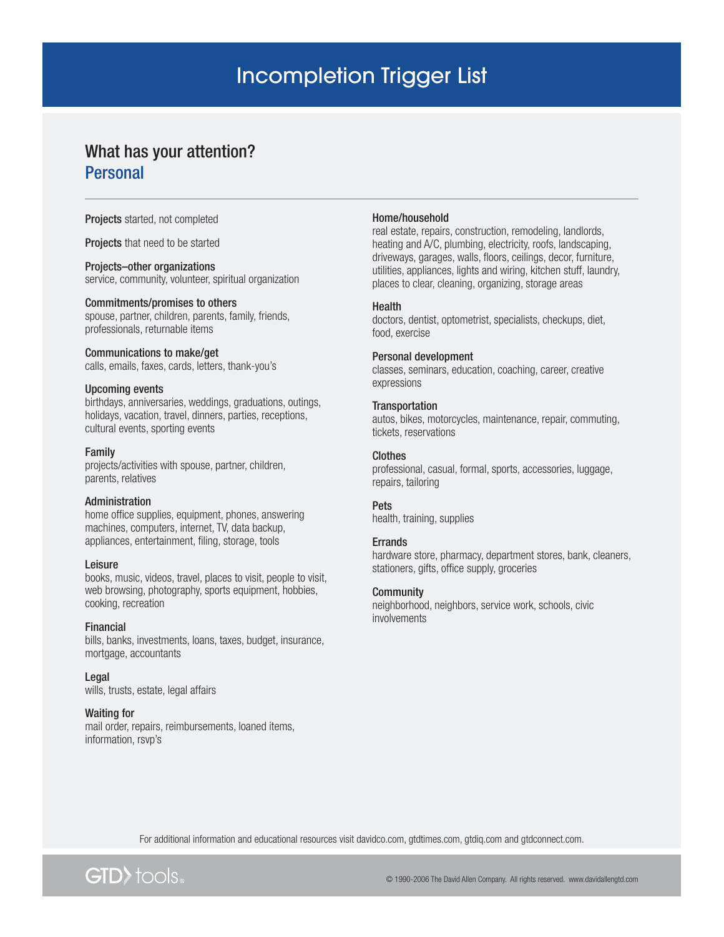# Incompletion Trigger List

# What has your attention? **Personal**

Projects started, not completed

Projects that need to be started

# Projects–other organizations

service, community, volunteer, spiritual organization

### Commitments/promises to others

spouse, partner, children, parents, family, friends, professionals, returnable items

# Communications to make/get

calls, emails, faxes, cards, letters, thank-you's

# Upcoming events

birthdays, anniversaries, weddings, graduations, outings, holidays, vacation, travel, dinners, parties, receptions, cultural events, sporting events

### Family

projects/activities with spouse, partner, children, parents, relatives

# Administration

home office supplies, equipment, phones, answering machines, computers, internet, TV, data backup, appliances, entertainment, filing, storage, tools

# Leisure

books, music, videos, travel, places to visit, people to visit, web browsing, photography, sports equipment, hobbies, cooking, recreation

# Financial

bills, banks, investments, loans, taxes, budget, insurance, mortgage, accountants

Legal wills, trusts, estate, legal affairs

# Waiting for

mail order, repairs, reimbursements, loaned items, information, rsvp's

### Home/household

real estate, repairs, construction, remodeling, landlords, heating and A/C, plumbing, electricity, roofs, landscaping, driveways, garages, walls, floors, ceilings, decor, furniture, utilities, appliances, lights and wiring, kitchen stuff, laundry, places to clear, cleaning, organizing, storage areas

# Health

doctors, dentist, optometrist, specialists, checkups, diet, food, exercise

# Personal development

classes, seminars, education, coaching, career, creative expressions

# **Transportation**

autos, bikes, motorcycles, maintenance, repair, commuting, tickets, reservations

# Clothes

professional, casual, formal, sports, accessories, luggage, repairs, tailoring

### Pets

health, training, supplies

# **Errands**

hardware store, pharmacy, department stores, bank, cleaners, stationers, gifts, office supply, groceries

# **Community**

neighborhood, neighbors, service work, schools, civic involvements

For additional information and educational resources visit davidco.com, gtdtimes.com, gtdiq.com and gtdconnect.com.



© 1990-2006 The David Allen Company. All rights reserved. www.davidallengtd.com